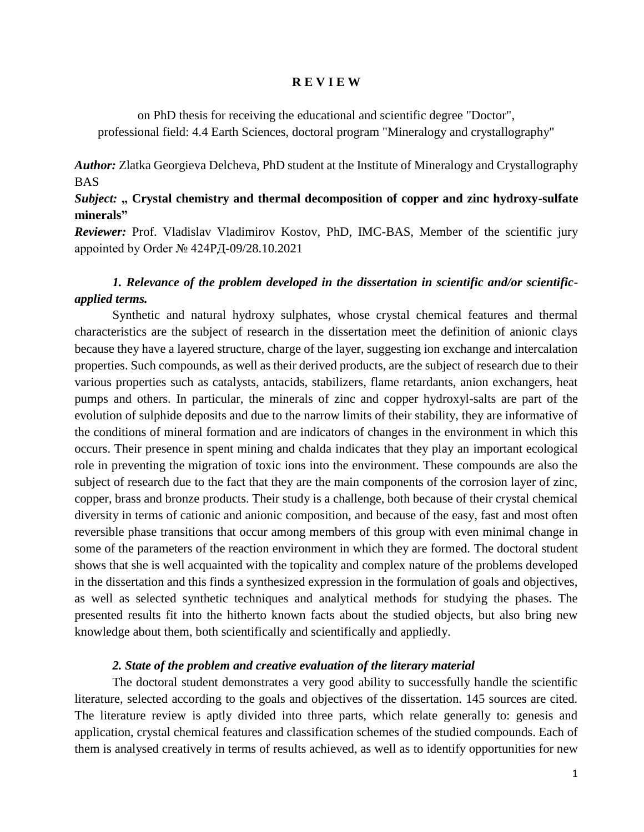#### **R E V I E W**

on PhD thesis for receiving the educational and scientific degree "Doctor", professional field: 4.4 Earth Sciences, doctoral program "Mineralogy and crystallography"

*Author:* Zlatka Georgieva Delcheva, PhD student at the Institute of Mineralogy and Crystallography BAS

### *Subject:* " Crystal chemistry and thermal decomposition of copper and zinc hydroxy-sulfate **minerals"**

*Reviewer:* Prof. Vladislav Vladimirov Kostov, PhD, IMC-BAS, Member of the scientific jury appointed by Order № 424РД-09/28.10.2021

# *1. Relevance of the problem developed in the dissertation in scientific and/or scientificapplied terms.*

Synthetic and natural hydroxy sulphates, whose crystal chemical features and thermal characteristics are the subject of research in the dissertation meet the definition of anionic clays because they have a layered structure, charge of the layer, suggesting ion exchange and intercalation properties. Such compounds, as well as their derived products, are the subject of research due to their various properties such as catalysts, antacids, stabilizers, flame retardants, anion exchangers, heat pumps and others. In particular, the minerals of zinc and copper hydroxyl-salts are part of the evolution of sulphide deposits and due to the narrow limits of their stability, they are informative of the conditions of mineral formation and are indicators of changes in the environment in which this occurs. Their presence in spent mining and chalda indicates that they play an important ecological role in preventing the migration of toxic ions into the environment. These compounds are also the subject of research due to the fact that they are the main components of the corrosion layer of zinc, copper, brass and bronze products. Their study is a challenge, both because of their crystal chemical diversity in terms of cationic and anionic composition, and because of the easy, fast and most often reversible phase transitions that occur among members of this group with even minimal change in some of the parameters of the reaction environment in which they are formed. The doctoral student shows that she is well acquainted with the topicality and complex nature of the problems developed in the dissertation and this finds a synthesized expression in the formulation of goals and objectives, as well as selected synthetic techniques and analytical methods for studying the phases. The presented results fit into the hitherto known facts about the studied objects, but also bring new knowledge about them, both scientifically and scientifically and appliedly.

### *2. State of the problem and creative evaluation of the literary material*

The doctoral student demonstrates a very good ability to successfully handle the scientific literature, selected according to the goals and objectives of the dissertation. 145 sources are cited. The literature review is aptly divided into three parts, which relate generally to: genesis and application, crystal chemical features and classification schemes of the studied compounds. Each of them is analysed creatively in terms of results achieved, as well as to identify opportunities for new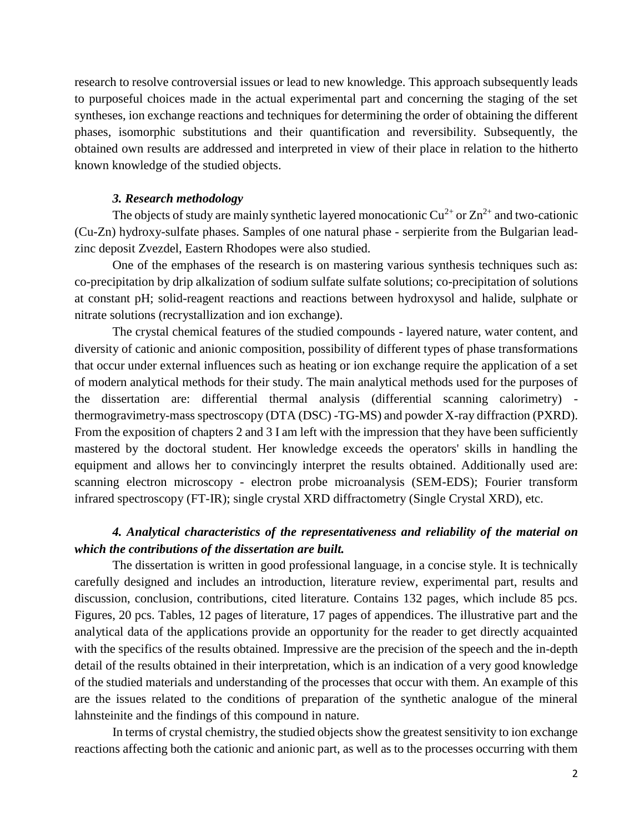research to resolve controversial issues or lead to new knowledge. This approach subsequently leads to purposeful choices made in the actual experimental part and concerning the staging of the set syntheses, ion exchange reactions and techniques for determining the order of obtaining the different phases, isomorphic substitutions and their quantification and reversibility. Subsequently, the obtained own results are addressed and interpreted in view of their place in relation to the hitherto known knowledge of the studied objects.

#### *3. Research methodology*

The objects of study are mainly synthetic layered monocationic  $Cu^{2+}$  or  $Zn^{2+}$  and two-cationic (Cu-Zn) hydroxy-sulfate phases. Samples of one natural phase - serpierite from the Bulgarian leadzinc deposit Zvezdel, Eastern Rhodopes were also studied.

One of the emphases of the research is on mastering various synthesis techniques such as: co-precipitation by drip alkalization of sodium sulfate sulfate solutions; co-precipitation of solutions at constant pH; solid-reagent reactions and reactions between hydroxysol and halide, sulphate or nitrate solutions (recrystallization and ion exchange).

The crystal chemical features of the studied compounds - layered nature, water content, and diversity of cationic and anionic composition, possibility of different types of phase transformations that occur under external influences such as heating or ion exchange require the application of a set of modern analytical methods for their study. The main analytical methods used for the purposes of the dissertation are: differential thermal analysis (differential scanning calorimetry) thermogravimetry-mass spectroscopy (DTA (DSC) -TG-MS) and powder X-ray diffraction (PXRD). From the exposition of chapters 2 and 3 I am left with the impression that they have been sufficiently mastered by the doctoral student. Her knowledge exceeds the operators' skills in handling the equipment and allows her to convincingly interpret the results obtained. Additionally used are: scanning electron microscopy - electron probe microanalysis (SEM-EDS); Fourier transform infrared spectroscopy (FT-IR); single crystal XRD diffractometry (Single Crystal XRD), etc.

## *4. Analytical characteristics of the representativeness and reliability of the material on which the contributions of the dissertation are built.*

The dissertation is written in good professional language, in a concise style. It is technically carefully designed and includes an introduction, literature review, experimental part, results and discussion, conclusion, contributions, cited literature. Contains 132 pages, which include 85 pcs. Figures, 20 pcs. Tables, 12 pages of literature, 17 pages of appendices. The illustrative part and the analytical data of the applications provide an opportunity for the reader to get directly acquainted with the specifics of the results obtained. Impressive are the precision of the speech and the in-depth detail of the results obtained in their interpretation, which is an indication of a very good knowledge of the studied materials and understanding of the processes that occur with them. An example of this are the issues related to the conditions of preparation of the synthetic analogue of the mineral lahnsteinite and the findings of this compound in nature.

In terms of crystal chemistry, the studied objects show the greatest sensitivity to ion exchange reactions affecting both the cationic and anionic part, as well as to the processes occurring with them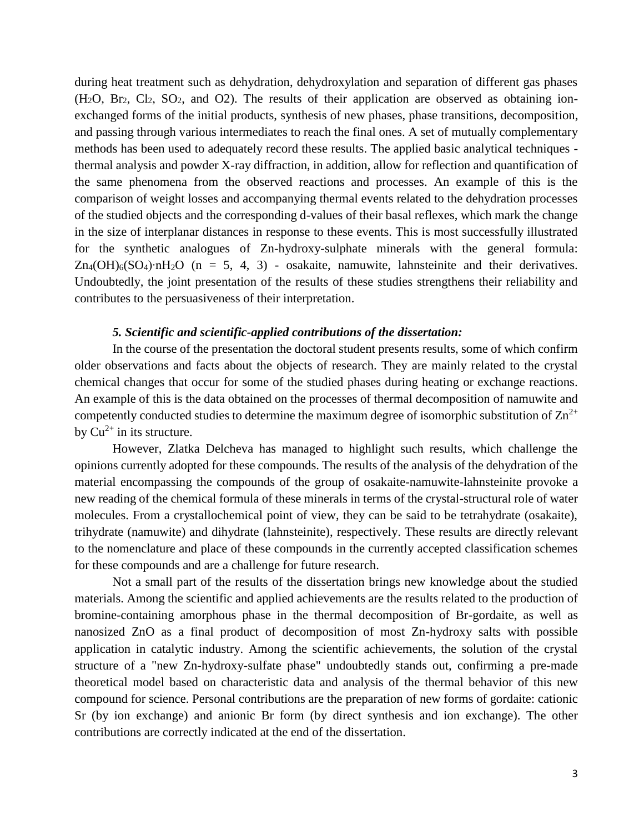during heat treatment such as dehydration, dehydroxylation and separation of different gas phases  $(H<sub>2</sub>O, Br<sub>2</sub>, Cl<sub>2</sub>, SO<sub>2</sub>, and O<sub>2</sub>)$ . The results of their application are observed as obtaining ionexchanged forms of the initial products, synthesis of new phases, phase transitions, decomposition, and passing through various intermediates to reach the final ones. A set of mutually complementary methods has been used to adequately record these results. The applied basic analytical techniques thermal analysis and powder X-ray diffraction, in addition, allow for reflection and quantification of the same phenomena from the observed reactions and processes. An example of this is the comparison of weight losses and accompanying thermal events related to the dehydration processes of the studied objects and the corresponding d-values of their basal reflexes, which mark the change in the size of interplanar distances in response to these events. This is most successfully illustrated for the synthetic analogues of Zn-hydroxy-sulphate minerals with the general formula: Zn4(OH)6(SO4)∙nH2O (n = 5, 4, 3) - osakaite, namuwite, lahnsteinite and their derivatives. Undoubtedly, the joint presentation of the results of these studies strengthens their reliability and contributes to the persuasiveness of their interpretation.

### *5. Scientific and scientific-applied contributions of the dissertation:*

In the course of the presentation the doctoral student presents results, some of which confirm older observations and facts about the objects of research. They are mainly related to the crystal chemical changes that occur for some of the studied phases during heating or exchange reactions. An example of this is the data obtained on the processes of thermal decomposition of namuwite and competently conducted studies to determine the maximum degree of isomorphic substitution of  $\text{Zn}^{2+}$ by  $Cu^{2+}$  in its structure.

However, Zlatka Delcheva has managed to highlight such results, which challenge the opinions currently adopted for these compounds. The results of the analysis of the dehydration of the material encompassing the compounds of the group of osakaite-namuwite-lahnsteinite provoke a new reading of the chemical formula of these minerals in terms of the crystal-structural role of water molecules. From a crystallochemical point of view, they can be said to be tetrahydrate (osakaite), trihydrate (namuwite) and dihydrate (lahnsteinite), respectively. These results are directly relevant to the nomenclature and place of these compounds in the currently accepted classification schemes for these compounds and are a challenge for future research.

Not a small part of the results of the dissertation brings new knowledge about the studied materials. Among the scientific and applied achievements are the results related to the production of bromine-containing amorphous phase in the thermal decomposition of Br-gordaite, as well as nanosized ZnO as a final product of decomposition of most Zn-hydroxy salts with possible application in catalytic industry. Among the scientific achievements, the solution of the crystal structure of a "new Zn-hydroxy-sulfate phase" undoubtedly stands out, confirming a pre-made theoretical model based on characteristic data and analysis of the thermal behavior of this new compound for science. Personal contributions are the preparation of new forms of gordaite: cationic Sr (by ion exchange) and anionic Br form (by direct synthesis and ion exchange). The other contributions are correctly indicated at the end of the dissertation.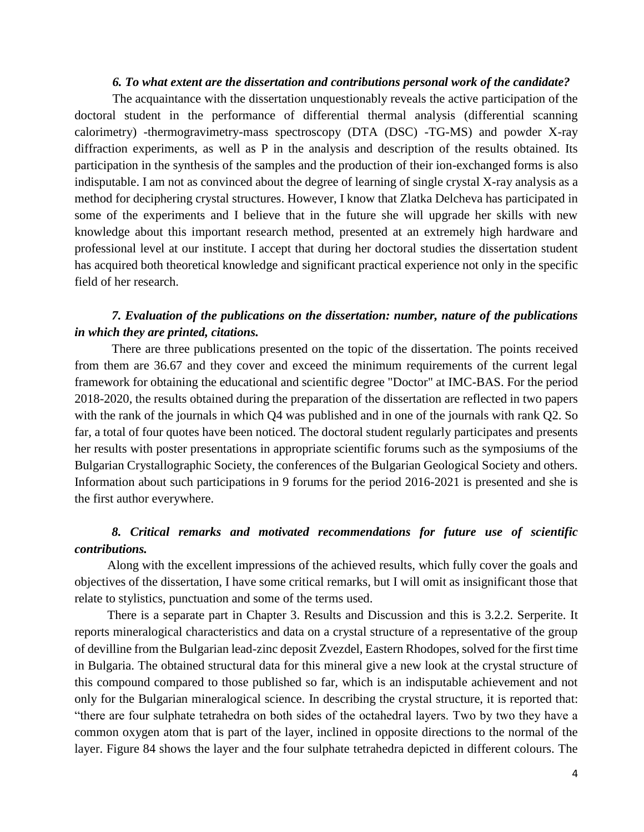### *6. To what extent are the dissertation and contributions personal work of the candidate?*

The acquaintance with the dissertation unquestionably reveals the active participation of the doctoral student in the performance of differential thermal analysis (differential scanning calorimetry) -thermogravimetry-mass spectroscopy (DTA (DSC) -TG-MS) and powder X-ray diffraction experiments, as well as P in the analysis and description of the results obtained. Its participation in the synthesis of the samples and the production of their ion-exchanged forms is also indisputable. I am not as convinced about the degree of learning of single crystal X-ray analysis as a method for deciphering crystal structures. However, I know that Zlatka Delcheva has participated in some of the experiments and I believe that in the future she will upgrade her skills with new knowledge about this important research method, presented at an extremely high hardware and professional level at our institute. I accept that during her doctoral studies the dissertation student has acquired both theoretical knowledge and significant practical experience not only in the specific field of her research.

### *7. Evaluation of the publications on the dissertation: number, nature of the publications in which they are printed, citations.*

There are three publications presented on the topic of the dissertation. The points received from them are 36.67 and they cover and exceed the minimum requirements of the current legal framework for obtaining the educational and scientific degree "Doctor" at IMC-BAS. For the period 2018-2020, the results obtained during the preparation of the dissertation are reflected in two papers with the rank of the journals in which Q4 was published and in one of the journals with rank Q2. So far, a total of four quotes have been noticed. The doctoral student regularly participates and presents her results with poster presentations in appropriate scientific forums such as the symposiums of the Bulgarian Crystallographic Society, the conferences of the Bulgarian Geological Society and others. Information about such participations in 9 forums for the period 2016-2021 is presented and she is the first author everywhere.

# *8. Critical remarks and motivated recommendations for future use of scientific contributions.*

Along with the excellent impressions of the achieved results, which fully cover the goals and objectives of the dissertation, I have some critical remarks, but I will omit as insignificant those that relate to stylistics, punctuation and some of the terms used.

There is a separate part in Chapter 3. Results and Discussion and this is 3.2.2. Serperite. It reports mineralogical characteristics and data on a crystal structure of a representative of the group of devilline from the Bulgarian lead-zinc deposit Zvezdel, Eastern Rhodopes, solved for the first time in Bulgaria. The obtained structural data for this mineral give a new look at the crystal structure of this compound compared to those published so far, which is an indisputable achievement and not only for the Bulgarian mineralogical science. In describing the crystal structure, it is reported that: "there are four sulphate tetrahedra on both sides of the octahedral layers. Two by two they have a common oxygen atom that is part of the layer, inclined in opposite directions to the normal of the layer. Figure 84 shows the layer and the four sulphate tetrahedra depicted in different colours. The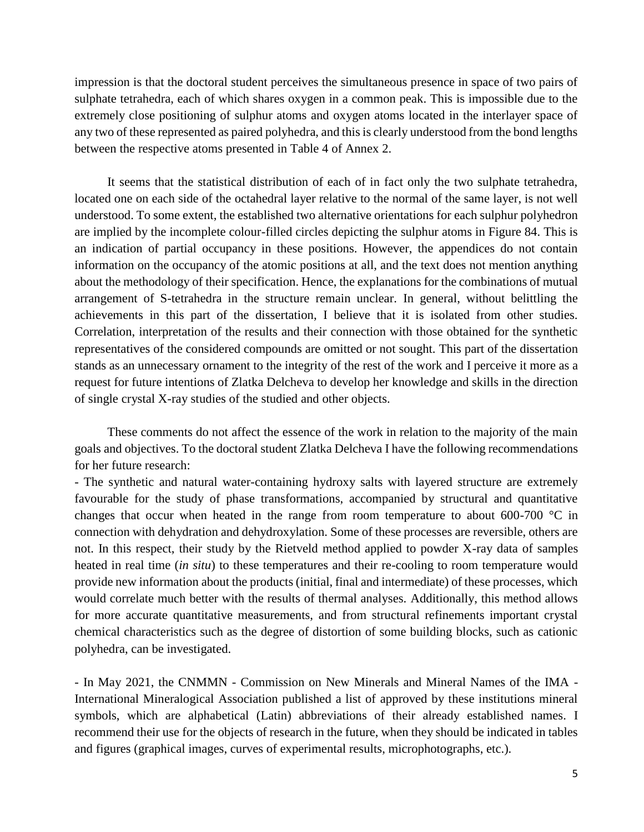impression is that the doctoral student perceives the simultaneous presence in space of two pairs of sulphate tetrahedra, each of which shares oxygen in a common peak. This is impossible due to the extremely close positioning of sulphur atoms and oxygen atoms located in the interlayer space of any two of these represented as paired polyhedra, and this is clearly understood from the bond lengths between the respective atoms presented in Table 4 of Annex 2.

It seems that the statistical distribution of each of in fact only the two sulphate tetrahedra, located one on each side of the octahedral layer relative to the normal of the same layer, is not well understood. To some extent, the established two alternative orientations for each sulphur polyhedron are implied by the incomplete colour-filled circles depicting the sulphur atoms in Figure 84. This is an indication of partial occupancy in these positions. However, the appendices do not contain information on the occupancy of the atomic positions at all, and the text does not mention anything about the methodology of their specification. Hence, the explanations for the combinations of mutual arrangement of S-tetrahedra in the structure remain unclear. In general, without belittling the achievements in this part of the dissertation, I believe that it is isolated from other studies. Correlation, interpretation of the results and their connection with those obtained for the synthetic representatives of the considered compounds are omitted or not sought. This part of the dissertation stands as an unnecessary ornament to the integrity of the rest of the work and I perceive it more as a request for future intentions of Zlatka Delcheva to develop her knowledge and skills in the direction of single crystal X-ray studies of the studied and other objects.

These comments do not affect the essence of the work in relation to the majority of the main goals and objectives. To the doctoral student Zlatka Delcheva I have the following recommendations for her future research:

- The synthetic and natural water-containing hydroxy salts with layered structure are extremely favourable for the study of phase transformations, accompanied by structural and quantitative changes that occur when heated in the range from room temperature to about 600-700 °C in connection with dehydration and dehydroxylation. Some of these processes are reversible, others are not. In this respect, their study by the Rietveld method applied to powder X-ray data of samples heated in real time (*in situ*) to these temperatures and their re-cooling to room temperature would provide new information about the products (initial, final and intermediate) of these processes, which would correlate much better with the results of thermal analyses. Additionally, this method allows for more accurate quantitative measurements, and from structural refinements important crystal chemical characteristics such as the degree of distortion of some building blocks, such as cationic polyhedra, can be investigated.

- In May 2021, the CNMMN - Commission on New Minerals and Mineral Names of the IMA - International Mineralogical Association published a list of approved by these institutions mineral symbols, which are alphabetical (Latin) abbreviations of their already established names. I recommend their use for the objects of research in the future, when they should be indicated in tables and figures (graphical images, curves of experimental results, microphotographs, etc.).